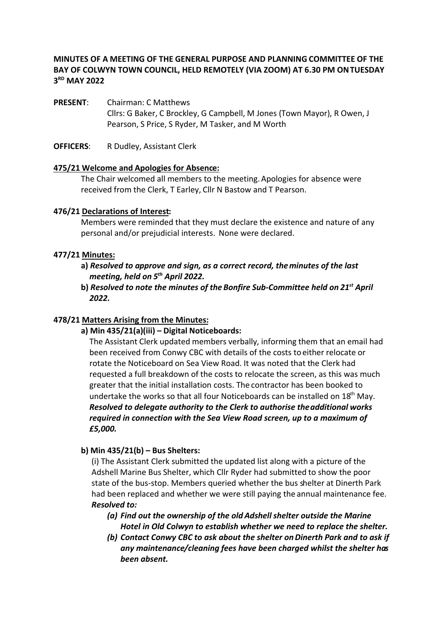# **MINUTES OF A MEETING OF THE GENERAL PURPOSE AND PLANNING COMMITTEE OF THE BAY OF COLWYN TOWN COUNCIL, HELD REMOTELY (VIA ZOOM) AT 6.30 PM ON TUESDAY 3RD MAY 2022**

**PRESENT**: Chairman: C Matthews Cllrs: G Baker, C Brockley, G Campbell, M Jones (Town Mayor), R Owen, J Pearson, S Price, S Ryder, M Tasker, and M Worth

**OFFICERS**: R Dudley, Assistant Clerk

#### **475/21 Welcome and Apologies for Absence:**

The Chair welcomed all members to the meeting. Apologies for absence were received from the Clerk, T Earley, Cllr N Bastow and T Pearson.

#### **476/21 Declarations of Interest:**

Members were reminded that they must declare the existence and nature of any personal and/or prejudicial interests. None were declared.

#### **477/21 Minutes:**

- **a)** *Resolved to approve and sign, as a correct record, the minutes of the last meeting, held on 5th April 2022.*
- *Resolved to note the minutes of the Bonfire Sub-Committee held on 21st* **b)** *April 2022.*

# **478/21 Matters Arising from the Minutes:**

**a) Min 435/21(a)(iii) – Digital Noticeboards:**

The Assistant Clerk updated members verbally, informing them that an email had been received from Conwy CBC with details of the costs to either relocate or rotate the Noticeboard on Sea View Road. It was noted that the Clerk had requested a full breakdown of the costs to relocate the screen, as this was much greater that the initial installation costs. The contractor has been booked to undertake the works so that all four Noticeboards can be installed on  $18<sup>th</sup>$  May. *Resolved to delegate authority to the Clerk to authorise the additional works required in connection with the Sea View Road screen, up to a maximum of £5,000.*

# **b) Min 435/21(b) – Bus Shelters:**

(i) The Assistant Clerk submitted the updated list along with a picture of the Adshell Marine Bus Shelter, which Cllr Ryder had submitted to show the poor state of the bus-stop. Members queried whether the bus shelter at Dinerth Park had been replaced and whether we were still paying the annual maintenance fee. *Resolved to:* 

- *(a) Find out the ownership of the oldAdshell shelter outside the Marine Hotel in Old Colwyn to establish whether we need to replace the shelter.*
- *(b) Contact Conwy CBC to ask about the shelter onDinerth Park and to ask if any maintenance/cleaning fees have been charged whilst the shelter has been absent.*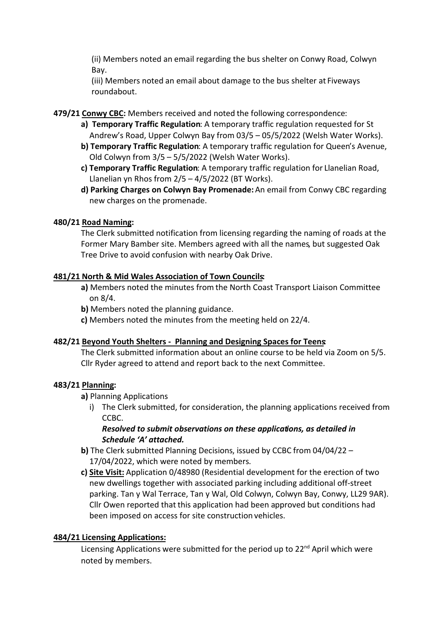(ii) Members noted an email regarding the bus shelter on Conwy Road, Colwyn Bay.

(iii) Members noted an email about damage to the bus shelter at Fiveways roundabout.

**479/21 Conwy CBC:** Members received and noted the following correspondence:

- **a) Temporary Traffic Regulation**: A temporary traffic regulation requested for St Andrew's Road, Upper Colwyn Bay from 03/5 – 05/5/2022 (Welsh Water Works).
- **b) Temporary Traffic Regulation**: A temporary traffic regulation for Queen's Avenue, Old Colwyn from 3/5 – 5/5/2022 (Welsh Water Works).
- **c) Temporary Traffic Regulation**: A temporary traffic regulation for Llanelian Road, Llanelian yn Rhos from  $2/5 - 4/5/2022$  (BT Works).
- **d) Parking Charges on Colwyn Bay Promenade:** An email from Conwy CBC regarding new charges on the promenade.

# **480/21 Road Naming:**

The Clerk submitted notification from licensing regarding the naming of roads at the Former Mary Bamber site. Members agreed with all the names, but suggested Oak Tree Drive to avoid confusion with nearby Oak Drive.

# **481/21 North & Mid Wales Association of Town Councils:**

- **a)** Members noted the minutes from the North Coast Transport Liaison Committee on 8/4.
- **b)** Members noted the planning guidance.
- **c)** Members noted the minutes from the meeting held on 22/4.

# **482/21 Beyond Youth Shelters - Planning and Designing Spaces for Teens:**

The Clerk submitted information about an online course to be held via Zoom on 5/5. Cllr Ryder agreed to attend and report back to the next Committee.

# **483/21 Planning:**

- **a)** Planning Applications
	- i) The Clerk submitted, for consideration, the planning applications received from CCBC.

# *Resolved to submit observations on these applications, as detailed in Schedule 'A' attached.*

- **b)** The Clerk submitted Planning Decisions, issued by CCBC from 04/04/22 17/04/2022, which were noted by members.
- **c) Site Visit:** Application 0/48980 (Residential development for the erection of two new dwellings together with associated parking including additional off-street parking. Tan y Wal Terrace, Tan y Wal, Old Colwyn, Colwyn Bay, Conwy, LL29 9AR). Cllr Owen reported that this application had been approved but conditions had been imposed on access for site construction vehicles.

# **484/21 Licensing Applications:**

Licensing Applications were submitted for the period up to  $22^{nd}$  April which were noted by members.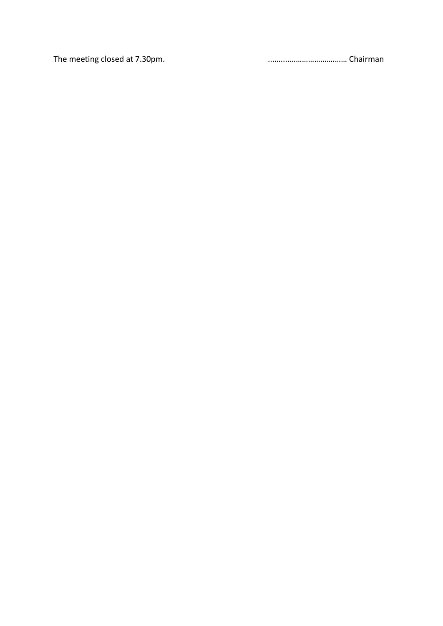The meeting closed at 7.30pm. **The meeting closed at 7.30pm**.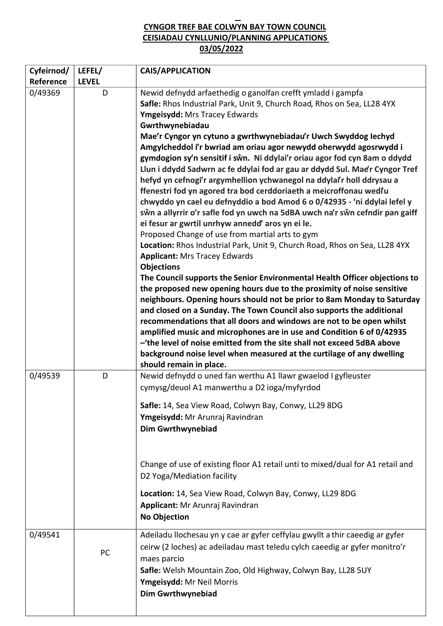# **CYNGOR TREF BAE COLWYN BAY TOWN COUNCIL CEISIADAU CYNLLUNIO/PLANNING APPLICATIONS 03/05/2022**

| Cyfeirnod/<br>Reference | LEFEL/<br><b>LEVEL</b> | <b>CAIS/APPLICATION</b>                                                                                                                                                                                                                                                                                                                                                                                                                                                                                                                                                                                                                                                                                                                                                                                                                                                                                                                                                                                                                                                                                                                                                                                                                                                                                                                                                                                                                                                                                                                                                                                                                                                                              |
|-------------------------|------------------------|------------------------------------------------------------------------------------------------------------------------------------------------------------------------------------------------------------------------------------------------------------------------------------------------------------------------------------------------------------------------------------------------------------------------------------------------------------------------------------------------------------------------------------------------------------------------------------------------------------------------------------------------------------------------------------------------------------------------------------------------------------------------------------------------------------------------------------------------------------------------------------------------------------------------------------------------------------------------------------------------------------------------------------------------------------------------------------------------------------------------------------------------------------------------------------------------------------------------------------------------------------------------------------------------------------------------------------------------------------------------------------------------------------------------------------------------------------------------------------------------------------------------------------------------------------------------------------------------------------------------------------------------------------------------------------------------------|
| 0/49369                 | D                      | Newid defnydd arfaethedig o ganolfan crefft ymladd i gampfa<br>Safle: Rhos Industrial Park, Unit 9, Church Road, Rhos on Sea, LL28 4YX<br>Ymgeisydd: Mrs Tracey Edwards<br>Gwrthwynebiadau<br>Mae'r Cyngor yn cytuno a gwrthwynebiadau'r Uwch Swyddog Iechyd<br>Amgylcheddol i'r bwriad am oriau agor newydd oherwydd agosrwydd i<br>gymdogion sy'n sensitif i sŵn. Ni ddylai'r oriau agor fod cyn 8am o ddydd<br>Llun i ddydd Sadwrn ac fe ddylai fod ar gau ar ddydd Sul. Mae'r Cyngor Tref<br>hefyd yn cefnogi'r argymhellion ychwanegol na ddylai'r holl ddrysau a<br>ffenestri fod yn agored tra bod cerddoriaeth a meicroffonau wediu<br>chwyddo yn cael eu defnyddio a bod Amod 6 o 0/42935 - 'ni ddylai lefel y<br>sŵn a allyrrir o'r safle fod yn uwch na 5dBA uwch na'r sŵn cefndir pan gaiff<br>ei fesur ar gwrtil unrhyw annedd' aros yn ei le.<br>Proposed Change of use from martial arts to gym<br>Location: Rhos Industrial Park, Unit 9, Church Road, Rhos on Sea, LL28 4YX<br><b>Applicant: Mrs Tracey Edwards</b><br><b>Objections</b><br>The Council supports the Senior Environmental Health Officer objections to<br>the proposed new opening hours due to the proximity of noise sensitive<br>neighbours. Opening hours should not be prior to 8am Monday to Saturday<br>and closed on a Sunday. The Town Council also supports the additional<br>recommendations that all doors and windows are not to be open whilst<br>amplified music and microphones are in use and Condition 6 of 0/42935<br>-'the level of noise emitted from the site shall not exceed 5dBA above<br>background noise level when measured at the curtilage of any dwelling<br>should remain in place. |
| 0/49539                 | D                      | Newid defnydd o uned fan werthu A1 llawr gwaelod I gyfleuster<br>cymysg/deuol A1 manwerthu a D2 ioga/myfyrdod<br>Safle: 14, Sea View Road, Colwyn Bay, Conwy, LL29 8DG<br>Ymgeisydd: Mr Arunraj Ravindran<br><b>Dim Gwrthwynebiad</b><br>Change of use of existing floor A1 retail unti to mixed/dual for A1 retail and<br>D2 Yoga/Mediation facility<br>Location: 14, Sea View Road, Colwyn Bay, Conwy, LL29 8DG<br>Applicant: Mr Arunraj Ravindran<br><b>No Objection</b>                                                                                                                                                                                                                                                                                                                                                                                                                                                                                                                                                                                                                                                                                                                                                                                                                                                                                                                                                                                                                                                                                                                                                                                                                          |
| 0/49541                 | PC                     | Adeiladu llochesau yn y cae ar gyfer ceffylau gwyllt a thir caeedig ar gyfer<br>ceirw (2 loches) ac adeiladau mast teledu cylch caeedig ar gyfer monitro'r<br>maes parcio<br>Safle: Welsh Mountain Zoo, Old Highway, Colwyn Bay, LL28 5UY<br>Ymgeisydd: Mr Neil Morris<br><b>Dim Gwrthwynebiad</b>                                                                                                                                                                                                                                                                                                                                                                                                                                                                                                                                                                                                                                                                                                                                                                                                                                                                                                                                                                                                                                                                                                                                                                                                                                                                                                                                                                                                   |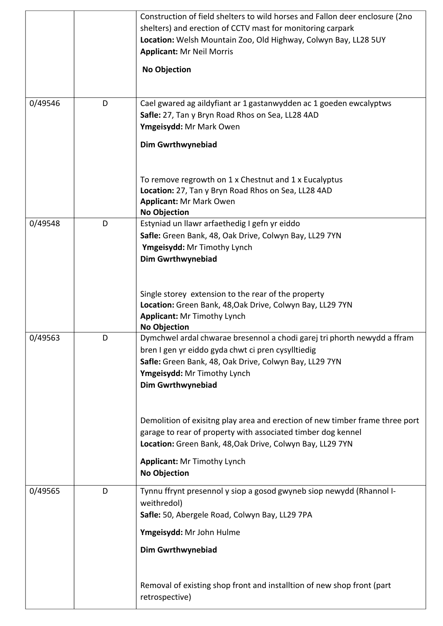|         |   | Construction of field shelters to wild horses and Fallon deer enclosure (2no |
|---------|---|------------------------------------------------------------------------------|
|         |   | shelters) and erection of CCTV mast for monitoring carpark                   |
|         |   | Location: Welsh Mountain Zoo, Old Highway, Colwyn Bay, LL28 5UY              |
|         |   | <b>Applicant: Mr Neil Morris</b>                                             |
|         |   | <b>No Objection</b>                                                          |
|         |   |                                                                              |
| 0/49546 | D | Cael gwared ag aildyfiant ar 1 gastanwydden ac 1 goeden ewcalyptws           |
|         |   | Safle: 27, Tan y Bryn Road Rhos on Sea, LL28 4AD                             |
|         |   | Ymgeisydd: Mr Mark Owen                                                      |
|         |   | <b>Dim Gwrthwynebiad</b>                                                     |
|         |   |                                                                              |
|         |   | To remove regrowth on 1 x Chestnut and 1 x Eucalyptus                        |
|         |   | Location: 27, Tan y Bryn Road Rhos on Sea, LL28 4AD                          |
|         |   | <b>Applicant: Mr Mark Owen</b><br><b>No Objection</b>                        |
| 0/49548 | D | Estyniad un llawr arfaethedig I gefn yr eiddo                                |
|         |   | Safle: Green Bank, 48, Oak Drive, Colwyn Bay, LL29 7YN                       |
|         |   | Ymgeisydd: Mr Timothy Lynch                                                  |
|         |   | <b>Dim Gwrthwynebiad</b>                                                     |
|         |   |                                                                              |
|         |   |                                                                              |
|         |   | Single storey extension to the rear of the property                          |
|         |   | Location: Green Bank, 48, Oak Drive, Colwyn Bay, LL29 7YN                    |
|         |   | <b>Applicant: Mr Timothy Lynch</b>                                           |
|         |   | <b>No Objection</b>                                                          |
| 0/49563 | D | Dymchwel ardal chwarae bresennol a chodi garej tri phorth newydd a ffram     |
|         |   | bren I gen yr eiddo gyda chwt ci pren cysylltiedig                           |
|         |   | Safle: Green Bank, 48, Oak Drive, Colwyn Bay, LL29 7YN                       |
|         |   | Ymgeisydd: Mr Timothy Lynch<br><b>Dim Gwrthwynebiad</b>                      |
|         |   |                                                                              |
|         |   |                                                                              |
|         |   | Demolition of exisitng play area and erection of new timber frame three port |
|         |   | garage to rear of property with associated timber dog kennel                 |
|         |   | Location: Green Bank, 48, Oak Drive, Colwyn Bay, LL29 7YN                    |
|         |   | <b>Applicant: Mr Timothy Lynch</b>                                           |
|         |   | <b>No Objection</b>                                                          |
| 0/49565 | D | Tynnu ffrynt presennol y siop a gosod gwyneb siop newydd (Rhannol I-         |
|         |   | weithredol)                                                                  |
|         |   | Safle: 50, Abergele Road, Colwyn Bay, LL29 7PA                               |
|         |   | Ymgeisydd: Mr John Hulme                                                     |
|         |   | <b>Dim Gwrthwynebiad</b>                                                     |
|         |   |                                                                              |
|         |   | Removal of existing shop front and installtion of new shop front (part       |
|         |   | retrospective)                                                               |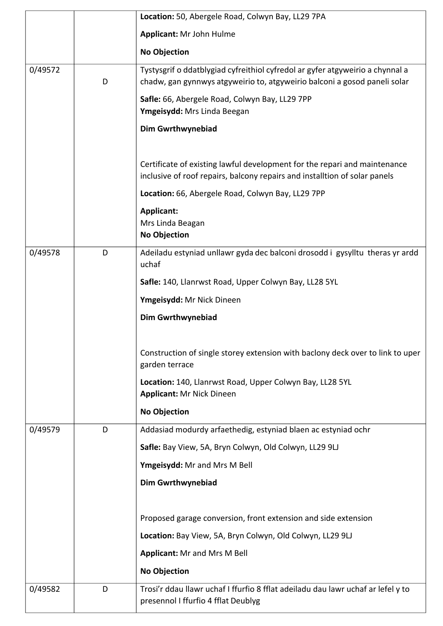|         |   | Location: 50, Abergele Road, Colwyn Bay, LL29 7PA                                                                                                          |
|---------|---|------------------------------------------------------------------------------------------------------------------------------------------------------------|
|         |   | Applicant: Mr John Hulme                                                                                                                                   |
|         |   |                                                                                                                                                            |
|         |   | <b>No Objection</b>                                                                                                                                        |
| 0/49572 | D | Tystysgrif o ddatblygiad cyfreithiol cyfredol ar gyfer atgyweirio a chynnal a<br>chadw, gan gynnwys atgyweirio to, atgyweirio balconi a gosod paneli solar |
|         |   | Safle: 66, Abergele Road, Colwyn Bay, LL29 7PP<br>Ymgeisydd: Mrs Linda Beegan                                                                              |
|         |   | <b>Dim Gwrthwynebiad</b>                                                                                                                                   |
|         |   | Certificate of existing lawful development for the repari and maintenance<br>inclusive of roof repairs, balcony repairs and installtion of solar panels    |
|         |   | Location: 66, Abergele Road, Colwyn Bay, LL29 7PP                                                                                                          |
|         |   | <b>Applicant:</b><br>Mrs Linda Beagan<br><b>No Objection</b>                                                                                               |
| 0/49578 | D | Adeiladu estyniad unllawr gyda dec balconi drosodd i gysylltu theras yr ardd<br>uchaf                                                                      |
|         |   | Safle: 140, Llanrwst Road, Upper Colwyn Bay, LL28 5YL                                                                                                      |
|         |   | Ymgeisydd: Mr Nick Dineen                                                                                                                                  |
|         |   | <b>Dim Gwrthwynebiad</b>                                                                                                                                   |
|         |   | Construction of single storey extension with baclony deck over to link to uper<br>garden terrace                                                           |
|         |   | Location: 140, Llanrwst Road, Upper Colwyn Bay, LL28 5YL<br><b>Applicant: Mr Nick Dineen</b>                                                               |
|         |   | <b>No Objection</b>                                                                                                                                        |
| 0/49579 | D | Addasiad modurdy arfaethedig, estyniad blaen ac estyniad ochr                                                                                              |
|         |   | Safle: Bay View, 5A, Bryn Colwyn, Old Colwyn, LL29 9LJ                                                                                                     |
|         |   | Ymgeisydd: Mr and Mrs M Bell                                                                                                                               |
|         |   | <b>Dim Gwrthwynebiad</b>                                                                                                                                   |
|         |   |                                                                                                                                                            |
|         |   | Proposed garage conversion, front extension and side extension                                                                                             |
|         |   | Location: Bay View, 5A, Bryn Colwyn, Old Colwyn, LL29 9LJ                                                                                                  |
|         |   | <b>Applicant: Mr and Mrs M Bell</b>                                                                                                                        |
|         |   | <b>No Objection</b>                                                                                                                                        |
| 0/49582 |   | Trosi'r ddau llawr uchaf I ffurfio 8 fflat adeiladu dau lawr uchaf ar lefel y to                                                                           |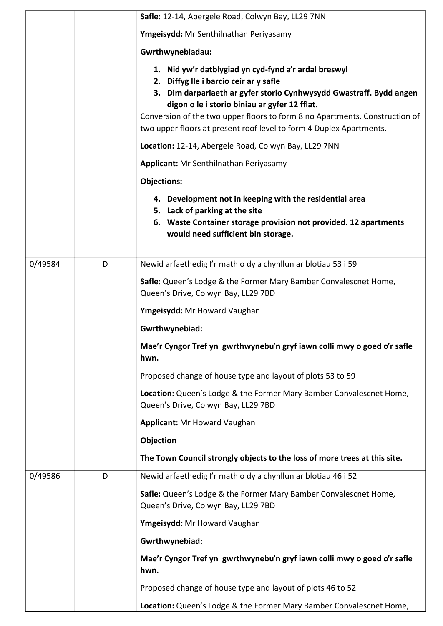|         |   | Safle: 12-14, Abergele Road, Colwyn Bay, LL29 7NN                                                                                                                                                                                                                                                                                                                            |
|---------|---|------------------------------------------------------------------------------------------------------------------------------------------------------------------------------------------------------------------------------------------------------------------------------------------------------------------------------------------------------------------------------|
|         |   | Ymgeisydd: Mr Senthilnathan Periyasamy                                                                                                                                                                                                                                                                                                                                       |
|         |   | Gwrthwynebiadau:                                                                                                                                                                                                                                                                                                                                                             |
|         |   | 1. Nid yw'r datblygiad yn cyd-fynd a'r ardal breswyl<br>2. Diffyg lle i barcio ceir ar y safle<br>3. Dim darpariaeth ar gyfer storio Cynhwysydd Gwastraff. Bydd angen<br>digon o le i storio biniau ar gyfer 12 fflat.<br>Conversion of the two upper floors to form 8 no Apartments. Construction of<br>two upper floors at present roof level to form 4 Duplex Apartments. |
|         |   | Location: 12-14, Abergele Road, Colwyn Bay, LL29 7NN                                                                                                                                                                                                                                                                                                                         |
|         |   | Applicant: Mr Senthilnathan Periyasamy                                                                                                                                                                                                                                                                                                                                       |
|         |   | <b>Objections:</b>                                                                                                                                                                                                                                                                                                                                                           |
|         |   | 4. Development not in keeping with the residential area<br>5. Lack of parking at the site<br>6. Waste Container storage provision not provided. 12 apartments<br>would need sufficient bin storage.                                                                                                                                                                          |
| 0/49584 | D | Newid arfaethedig I'r math o dy a chynllun ar blotiau 53 i 59                                                                                                                                                                                                                                                                                                                |
|         |   | Safle: Queen's Lodge & the Former Mary Bamber Convalescnet Home,<br>Queen's Drive, Colwyn Bay, LL29 7BD                                                                                                                                                                                                                                                                      |
|         |   | Ymgeisydd: Mr Howard Vaughan                                                                                                                                                                                                                                                                                                                                                 |
|         |   | Gwrthwynebiad:                                                                                                                                                                                                                                                                                                                                                               |
|         |   | Mae'r Cyngor Tref yn gwrthwynebu'n gryf iawn colli mwy o goed o'r safle<br>hwn.                                                                                                                                                                                                                                                                                              |
|         |   | Proposed change of house type and layout of plots 53 to 59                                                                                                                                                                                                                                                                                                                   |
|         |   | Location: Queen's Lodge & the Former Mary Bamber Convalescnet Home,<br>Queen's Drive, Colwyn Bay, LL29 7BD                                                                                                                                                                                                                                                                   |
|         |   | <b>Applicant: Mr Howard Vaughan</b>                                                                                                                                                                                                                                                                                                                                          |
|         |   | Objection                                                                                                                                                                                                                                                                                                                                                                    |
|         |   | The Town Council strongly objects to the loss of more trees at this site.                                                                                                                                                                                                                                                                                                    |
| 0/49586 | D | Newid arfaethedig I'r math o dy a chynllun ar blotiau 46 i 52                                                                                                                                                                                                                                                                                                                |
|         |   | Safle: Queen's Lodge & the Former Mary Bamber Convalescnet Home,<br>Queen's Drive, Colwyn Bay, LL29 7BD                                                                                                                                                                                                                                                                      |
|         |   | Ymgeisydd: Mr Howard Vaughan                                                                                                                                                                                                                                                                                                                                                 |
|         |   | Gwrthwynebiad:                                                                                                                                                                                                                                                                                                                                                               |
|         |   | Mae'r Cyngor Tref yn gwrthwynebu'n gryf iawn colli mwy o goed o'r safle<br>hwn.                                                                                                                                                                                                                                                                                              |
|         |   | Proposed change of house type and layout of plots 46 to 52                                                                                                                                                                                                                                                                                                                   |
|         |   | Location: Queen's Lodge & the Former Mary Bamber Convalescnet Home,                                                                                                                                                                                                                                                                                                          |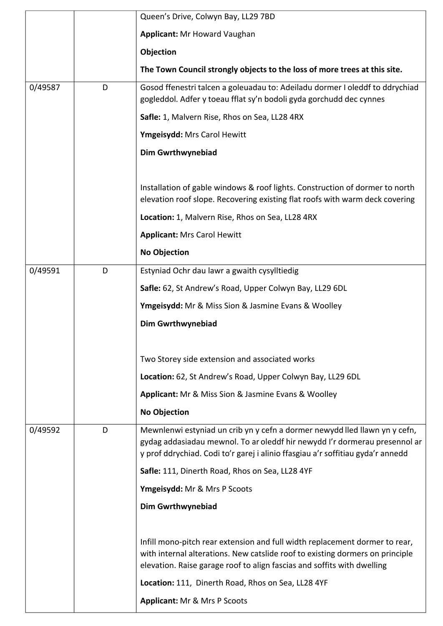|         |   | Queen's Drive, Colwyn Bay, LL29 7BD                                                                                                                                                                                                         |
|---------|---|---------------------------------------------------------------------------------------------------------------------------------------------------------------------------------------------------------------------------------------------|
|         |   | <b>Applicant: Mr Howard Vaughan</b>                                                                                                                                                                                                         |
|         |   | Objection                                                                                                                                                                                                                                   |
|         |   | The Town Council strongly objects to the loss of more trees at this site.                                                                                                                                                                   |
| 0/49587 | D | Gosod ffenestri talcen a goleuadau to: Adeiladu dormer I oleddf to ddrychiad<br>gogleddol. Adfer y toeau fflat sy'n bodoli gyda gorchudd dec cynnes                                                                                         |
|         |   | Safle: 1, Malvern Rise, Rhos on Sea, LL28 4RX                                                                                                                                                                                               |
|         |   | Ymgeisydd: Mrs Carol Hewitt                                                                                                                                                                                                                 |
|         |   | <b>Dim Gwrthwynebiad</b>                                                                                                                                                                                                                    |
|         |   |                                                                                                                                                                                                                                             |
|         |   | Installation of gable windows & roof lights. Construction of dormer to north<br>elevation roof slope. Recovering existing flat roofs with warm deck covering                                                                                |
|         |   | Location: 1, Malvern Rise, Rhos on Sea, LL28 4RX                                                                                                                                                                                            |
|         |   | <b>Applicant: Mrs Carol Hewitt</b>                                                                                                                                                                                                          |
|         |   | <b>No Objection</b>                                                                                                                                                                                                                         |
| 0/49591 | D | Estyniad Ochr dau lawr a gwaith cysylltiedig                                                                                                                                                                                                |
|         |   | Safle: 62, St Andrew's Road, Upper Colwyn Bay, LL29 6DL                                                                                                                                                                                     |
|         |   | Ymgeisydd: Mr & Miss Sion & Jasmine Evans & Woolley                                                                                                                                                                                         |
|         |   | <b>Dim Gwrthwynebiad</b>                                                                                                                                                                                                                    |
|         |   |                                                                                                                                                                                                                                             |
|         |   | Two Storey side extension and associated works                                                                                                                                                                                              |
|         |   | Location: 62, St Andrew's Road, Upper Colwyn Bay, LL29 6DL                                                                                                                                                                                  |
|         |   | Applicant: Mr & Miss Sion & Jasmine Evans & Woolley                                                                                                                                                                                         |
|         |   | <b>No Objection</b>                                                                                                                                                                                                                         |
| 0/49592 | D | Mewnlenwi estyniad un crib yn y cefn a dormer newydd lled llawn yn y cefn,<br>gydag addasiadau mewnol. To ar oleddf hir newydd I'r dormerau presennol ar<br>y prof ddrychiad. Codi to'r garej i alinio ffasgiau a'r soffitiau gyda'r annedd |
|         |   | Safle: 111, Dinerth Road, Rhos on Sea, LL28 4YF                                                                                                                                                                                             |
|         |   | Ymgeisydd: Mr & Mrs P Scoots                                                                                                                                                                                                                |
|         |   | <b>Dim Gwrthwynebiad</b>                                                                                                                                                                                                                    |
|         |   |                                                                                                                                                                                                                                             |
|         |   | Infill mono-pitch rear extension and full width replacement dormer to rear,<br>with internal alterations. New catslide roof to existing dormers on principle<br>elevation. Raise garage roof to align fascias and soffits with dwelling     |
|         |   | Location: 111, Dinerth Road, Rhos on Sea, LL28 4YF                                                                                                                                                                                          |
|         |   | Applicant: Mr & Mrs P Scoots                                                                                                                                                                                                                |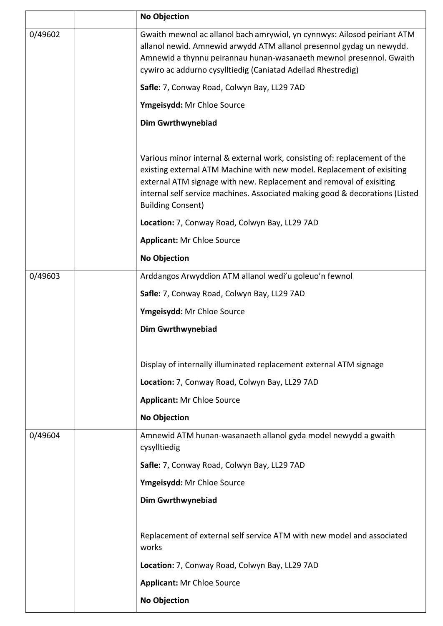|         | <b>No Objection</b>                                                                                                                                                                                                                                                                                                                    |
|---------|----------------------------------------------------------------------------------------------------------------------------------------------------------------------------------------------------------------------------------------------------------------------------------------------------------------------------------------|
| 0/49602 | Gwaith mewnol ac allanol bach amrywiol, yn cynnwys: Ailosod peiriant ATM<br>allanol newid. Amnewid arwydd ATM allanol presennol gydag un newydd.<br>Amnewid a thynnu peirannau hunan-wasanaeth mewnol presennol. Gwaith<br>cywiro ac addurno cysylltiedig (Caniatad Adeilad Rhestredig)                                                |
|         | Safle: 7, Conway Road, Colwyn Bay, LL29 7AD                                                                                                                                                                                                                                                                                            |
|         | Ymgeisydd: Mr Chloe Source                                                                                                                                                                                                                                                                                                             |
|         | <b>Dim Gwrthwynebiad</b>                                                                                                                                                                                                                                                                                                               |
|         | Various minor internal & external work, consisting of: replacement of the<br>existing external ATM Machine with new model. Replacement of exisiting<br>external ATM signage with new. Replacement and removal of exisiting<br>internal self service machines. Associated making good & decorations (Listed<br><b>Building Consent)</b> |
|         | Location: 7, Conway Road, Colwyn Bay, LL29 7AD                                                                                                                                                                                                                                                                                         |
|         | <b>Applicant: Mr Chloe Source</b>                                                                                                                                                                                                                                                                                                      |
|         | <b>No Objection</b>                                                                                                                                                                                                                                                                                                                    |
| 0/49603 | Arddangos Arwyddion ATM allanol wedi'u goleuo'n fewnol                                                                                                                                                                                                                                                                                 |
|         | Safle: 7, Conway Road, Colwyn Bay, LL29 7AD                                                                                                                                                                                                                                                                                            |
|         | Ymgeisydd: Mr Chloe Source                                                                                                                                                                                                                                                                                                             |
|         | <b>Dim Gwrthwynebiad</b>                                                                                                                                                                                                                                                                                                               |
|         |                                                                                                                                                                                                                                                                                                                                        |
|         | Display of internally illuminated replacement external ATM signage                                                                                                                                                                                                                                                                     |
|         | Location: 7, Conway Road, Colwyn Bay, LL29 7AD                                                                                                                                                                                                                                                                                         |
|         | <b>Applicant: Mr Chloe Source</b>                                                                                                                                                                                                                                                                                                      |
| 0/49604 | <b>No Objection</b><br>Amnewid ATM hunan-wasanaeth allanol gyda model newydd a gwaith                                                                                                                                                                                                                                                  |
|         | cysylltiedig                                                                                                                                                                                                                                                                                                                           |
|         | Safle: 7, Conway Road, Colwyn Bay, LL29 7AD                                                                                                                                                                                                                                                                                            |
|         | Ymgeisydd: Mr Chloe Source                                                                                                                                                                                                                                                                                                             |
|         | <b>Dim Gwrthwynebiad</b>                                                                                                                                                                                                                                                                                                               |
|         |                                                                                                                                                                                                                                                                                                                                        |
|         | Replacement of external self service ATM with new model and associated<br>works                                                                                                                                                                                                                                                        |
|         | Location: 7, Conway Road, Colwyn Bay, LL29 7AD                                                                                                                                                                                                                                                                                         |
|         | <b>Applicant: Mr Chloe Source</b>                                                                                                                                                                                                                                                                                                      |
|         | <b>No Objection</b>                                                                                                                                                                                                                                                                                                                    |